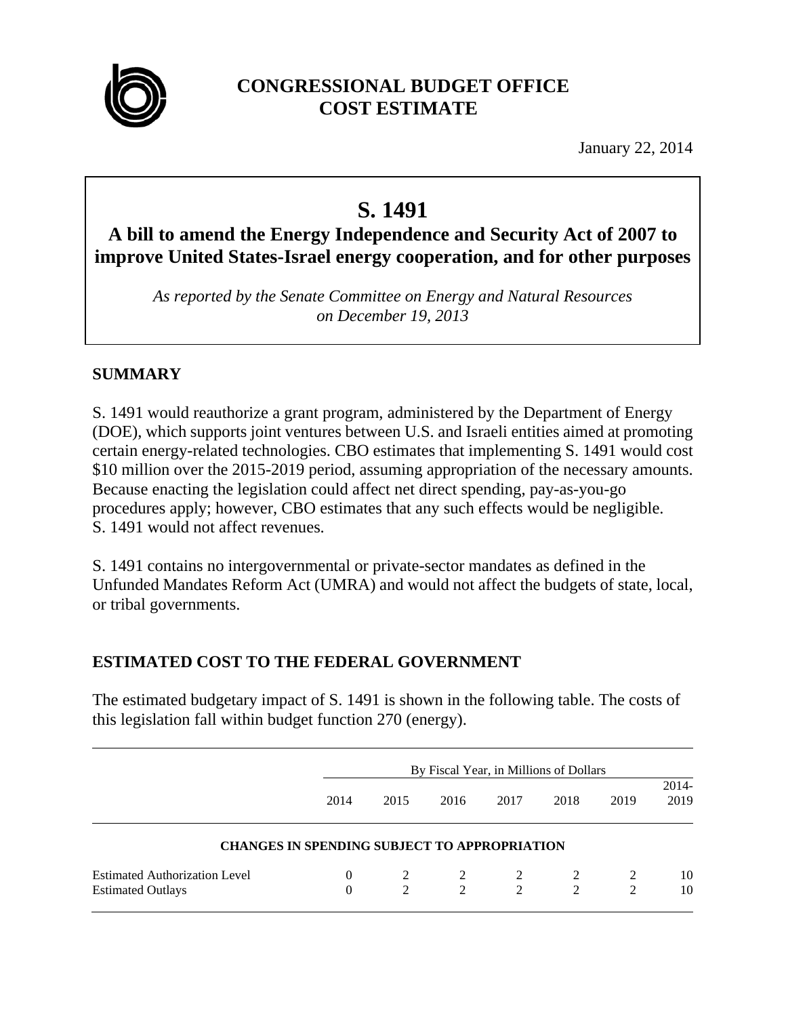

# **CONGRESSIONAL BUDGET OFFICE COST ESTIMATE**

January 22, 2014

# **S. 1491**

# **A bill to amend the Energy Independence and Security Act of 2007 to improve United States-Israel energy cooperation, and for other purposes**

*As reported by the Senate Committee on Energy and Natural Resources on December 19, 2013* 

# **SUMMARY**

S. 1491 would reauthorize a grant program, administered by the Department of Energy (DOE), which supports joint ventures between U.S. and Israeli entities aimed at promoting certain energy-related technologies. CBO estimates that implementing S. 1491 would cost \$10 million over the 2015-2019 period, assuming appropriation of the necessary amounts. Because enacting the legislation could affect net direct spending, pay-as-you-go procedures apply; however, CBO estimates that any such effects would be negligible. S. 1491 would not affect revenues.

S. 1491 contains no intergovernmental or private-sector mandates as defined in the Unfunded Mandates Reform Act (UMRA) and would not affect the budgets of state, local, or tribal governments.

# **ESTIMATED COST TO THE FEDERAL GOVERNMENT**

The estimated budgetary impact of S. 1491 is shown in the following table. The costs of this legislation fall within budget function 270 (energy).

|                                                                  | By Fiscal Year, in Millions of Dollars              |      |        |        |        |      |                  |
|------------------------------------------------------------------|-----------------------------------------------------|------|--------|--------|--------|------|------------------|
|                                                                  | 2014                                                | 2015 | 2016   | 2017   | 2018   | 2019 | $2014 -$<br>2019 |
|                                                                  | <b>CHANGES IN SPENDING SUBJECT TO APPROPRIATION</b> |      |        |        |        |      |                  |
| <b>Estimated Authorization Level</b><br><b>Estimated Outlays</b> | $\theta$<br>$\Omega$                                |      | 2<br>2 | 2<br>2 | 2<br>2 | 2    | 10<br>10         |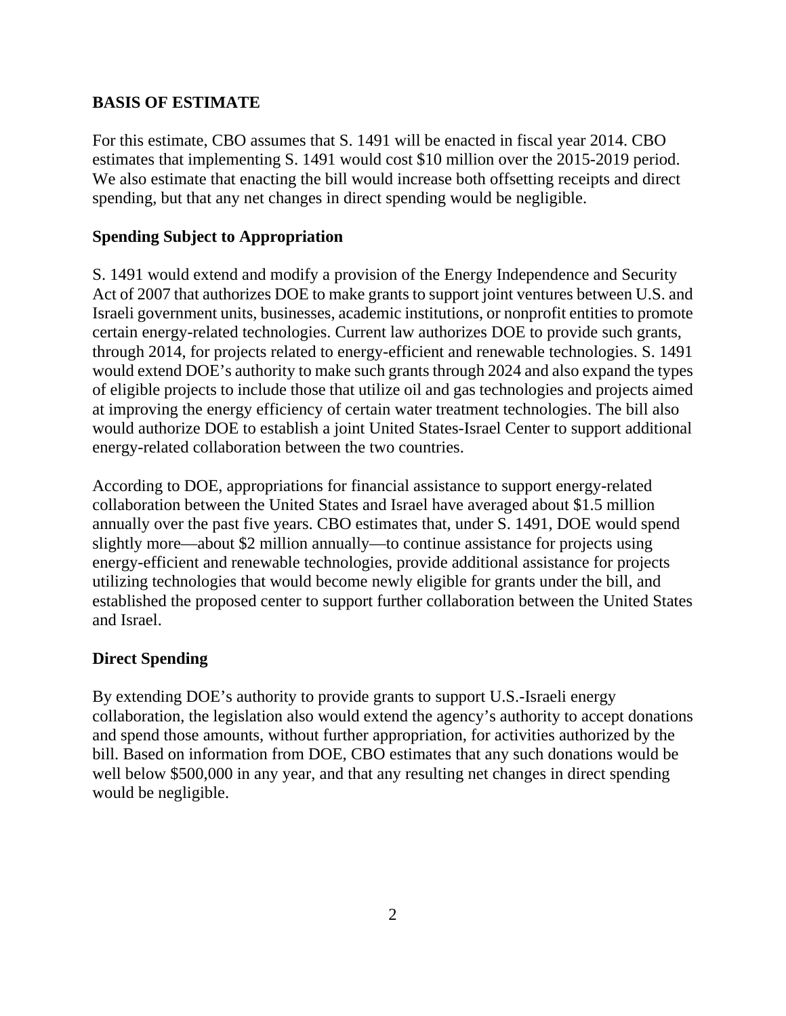#### **BASIS OF ESTIMATE**

For this estimate, CBO assumes that S. 1491 will be enacted in fiscal year 2014. CBO estimates that implementing S. 1491 would cost \$10 million over the 2015-2019 period. We also estimate that enacting the bill would increase both offsetting receipts and direct spending, but that any net changes in direct spending would be negligible.

#### **Spending Subject to Appropriation**

S. 1491 would extend and modify a provision of the Energy Independence and Security Act of 2007 that authorizes DOE to make grants to support joint ventures between U.S. and Israeli government units, businesses, academic institutions, or nonprofit entities to promote certain energy-related technologies. Current law authorizes DOE to provide such grants, through 2014, for projects related to energy-efficient and renewable technologies. S. 1491 would extend DOE's authority to make such grants through 2024 and also expand the types of eligible projects to include those that utilize oil and gas technologies and projects aimed at improving the energy efficiency of certain water treatment technologies. The bill also would authorize DOE to establish a joint United States-Israel Center to support additional energy-related collaboration between the two countries.

According to DOE, appropriations for financial assistance to support energy-related collaboration between the United States and Israel have averaged about \$1.5 million annually over the past five years. CBO estimates that, under S. 1491, DOE would spend slightly more—about \$2 million annually—to continue assistance for projects using energy-efficient and renewable technologies, provide additional assistance for projects utilizing technologies that would become newly eligible for grants under the bill, and established the proposed center to support further collaboration between the United States and Israel.

#### **Direct Spending**

By extending DOE's authority to provide grants to support U.S.-Israeli energy collaboration, the legislation also would extend the agency's authority to accept donations and spend those amounts, without further appropriation, for activities authorized by the bill. Based on information from DOE, CBO estimates that any such donations would be well below \$500,000 in any year, and that any resulting net changes in direct spending would be negligible.